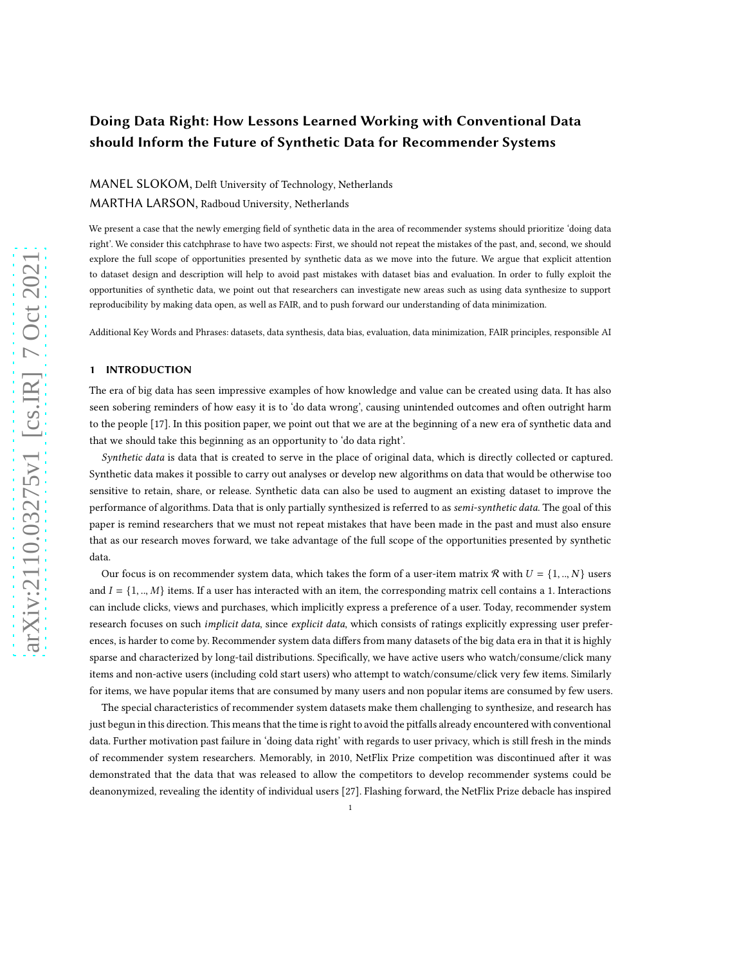# Doing Data Right: How Lessons Learned Working with Conventional Data should Inform the Future of Synthetic Data for Recommender Systems

# MANEL SLOKOM, Delft University of Technology, Netherlands MARTHA LARSON, Radboud University, Netherlands

We present a case that the newly emerging field of synthetic data in the area of recommender systems should prioritize 'doing data right'. We consider this catchphrase to have two aspects: First, we should not repeat the mistakes of the past, and, second, we should explore the full scope of opportunities presented by synthetic data as we move into the future. We argue that explicit attention to dataset design and description will help to avoid past mistakes with dataset bias and evaluation. In order to fully exploit the opportunities of synthetic data, we point out that researchers can investigate new areas such as using data synthesize to support reproducibility by making data open, as well as FAIR, and to push forward our understanding of data minimization.

Additional Key Words and Phrases: datasets, data synthesis, data bias, evaluation, data minimization, FAIR principles, responsible AI

# 1 INTRODUCTION

The era of big data has seen impressive examples of how knowledge and value can be created using data. It has also seen sobering reminders of how easy it is to 'do data wrong', causing unintended outcomes and often outright harm to the people [\[17\]](#page-5-0). In this position paper, we point out that we are at the beginning of a new era of synthetic data and that we should take this beginning as an opportunity to 'do data right'.

Synthetic data is data that is created to serve in the place of original data, which is directly collected or captured. Synthetic data makes it possible to carry out analyses or develop new algorithms on data that would be otherwise too sensitive to retain, share, or release. Synthetic data can also be used to augment an existing dataset to improve the performance of algorithms. Data that is only partially synthesized is referred to as semi-synthetic data. The goal of this paper is remind researchers that we must not repeat mistakes that have been made in the past and must also ensure that as our research moves forward, we take advantage of the full scope of the opportunities presented by synthetic data.

Our focus is on recommender system data, which takes the form of a user-item matrix R with  $U = \{1, ..., N\}$  users and  $I = \{1, ..., M\}$  items. If a user has interacted with an item, the corresponding matrix cell contains a 1. Interactions can include clicks, views and purchases, which implicitly express a preference of a user. Today, recommender system research focuses on such *implicit data*, since *explicit data*, which consists of ratings explicitly expressing user preferences, is harder to come by. Recommender system data differs from many datasets of the big data era in that it is highly sparse and characterized by long-tail distributions. Specifically, we have active users who watch/consume/click many items and non-active users (including cold start users) who attempt to watch/consume/click very few items. Similarly for items, we have popular items that are consumed by many users and non popular items are consumed by few users.

The special characteristics of recommender system datasets make them challenging to synthesize, and research has just begun in this direction. This means that the time is right to avoid the pitfalls already encountered with conventional data. Further motivation past failure in 'doing data right' with regards to user privacy, which is still fresh in the minds of recommender system researchers. Memorably, in 2010, NetFlix Prize competition was discontinued after it was demonstrated that the data that was released to allow the competitors to develop recommender systems could be deanonymized, revealing the identity of individual users [\[27\]](#page-6-0). Flashing forward, the NetFlix Prize debacle has inspired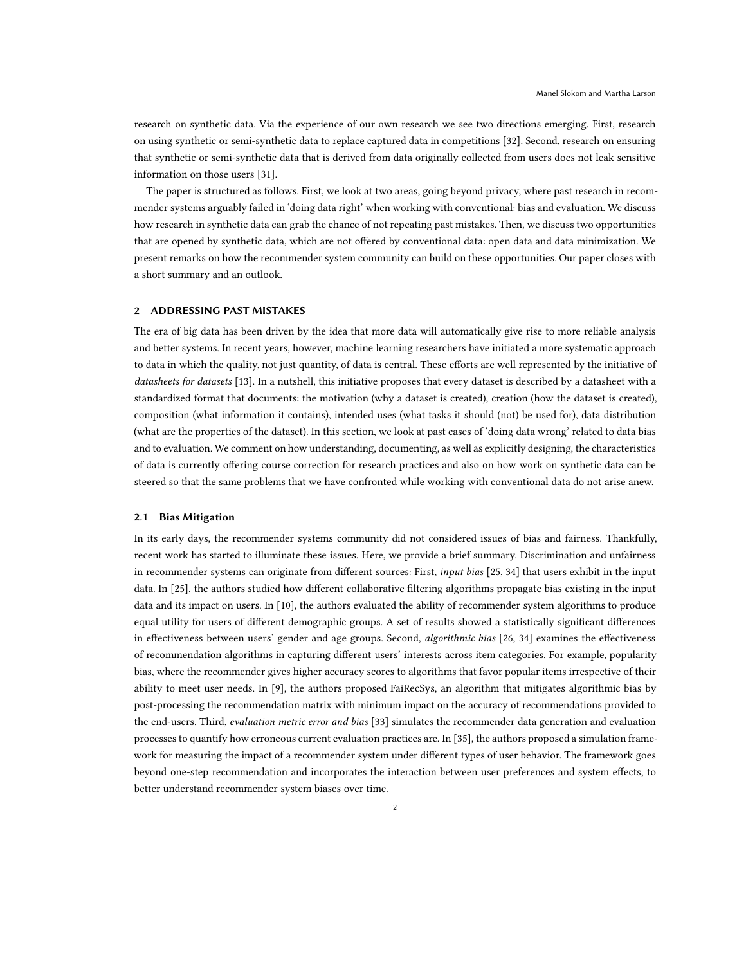research on synthetic data. Via the experience of our own research we see two directions emerging. First, research on using synthetic or semi-synthetic data to replace captured data in competitions [\[32](#page-6-1)]. Second, research on ensuring that synthetic or semi-synthetic data that is derived from data originally collected from users does not leak sensitive information on those users [\[31\]](#page-6-2).

The paper is structured as follows. First, we look at two areas, going beyond privacy, where past research in recommender systems arguably failed in 'doing data right' when working with conventional: bias and evaluation. We discuss how research in synthetic data can grab the chance of not repeating past mistakes. Then, we discuss two opportunities that are opened by synthetic data, which are not offered by conventional data: open data and data minimization. We present remarks on how the recommender system community can build on these opportunities. Our paper closes with a short summary and an outlook.

# 2 ADDRESSING PAST MISTAKES

The era of big data has been driven by the idea that more data will automatically give rise to more reliable analysis and better systems. In recent years, however, machine learning researchers have initiated a more systematic approach to data in which the quality, not just quantity, of data is central. These efforts are well represented by the initiative of datasheets for datasets [\[13](#page-5-1)]. In a nutshell, this initiative proposes that every dataset is described by a datasheet with a standardized format that documents: the motivation (why a dataset is created), creation (how the dataset is created), composition (what information it contains), intended uses (what tasks it should (not) be used for), data distribution (what are the properties of the dataset). In this section, we look at past cases of 'doing data wrong' related to data bias and to evaluation. We comment on how understanding, documenting, as well as explicitly designing, the characteristics of data is currently offering course correction for research practices and also on how work on synthetic data can be steered so that the same problems that we have confronted while working with conventional data do not arise anew.

#### 2.1 Bias Mitigation

In its early days, the recommender systems community did not considered issues of bias and fairness. Thankfully, recent work has started to illuminate these issues. Here, we provide a brief summary. Discrimination and unfairness in recommender systems can originate from different sources: First, *input bias* [\[25,](#page-6-3) [34\]](#page-6-4) that users exhibit in the input data. In [\[25\]](#page-6-3), the authors studied how different collaborative filtering algorithms propagate bias existing in the input data and its impact on users. In [\[10\]](#page-5-2), the authors evaluated the ability of recommender system algorithms to produce equal utility for users of different demographic groups. A set of results showed a statistically significant differences in effectiveness between users' gender and age groups. Second, algorithmic bias [\[26](#page-6-5), [34](#page-6-4)] examines the effectiveness of recommendation algorithms in capturing different users' interests across item categories. For example, popularity bias, where the recommender gives higher accuracy scores to algorithms that favor popular items irrespective of their ability to meet user needs. In [\[9](#page-5-3)], the authors proposed FaiRecSys, an algorithm that mitigates algorithmic bias by post-processing the recommendation matrix with minimum impact on the accuracy of recommendations provided to the end-users. Third, evaluation metric error and bias [\[33](#page-6-6)] simulates the recommender data generation and evaluation processes to quantify how erroneous current evaluation practices are. In [\[35\]](#page-6-7), the authors proposed a simulation framework for measuring the impact of a recommender system under different types of user behavior. The framework goes beyond one-step recommendation and incorporates the interaction between user preferences and system effects, to better understand recommender system biases over time.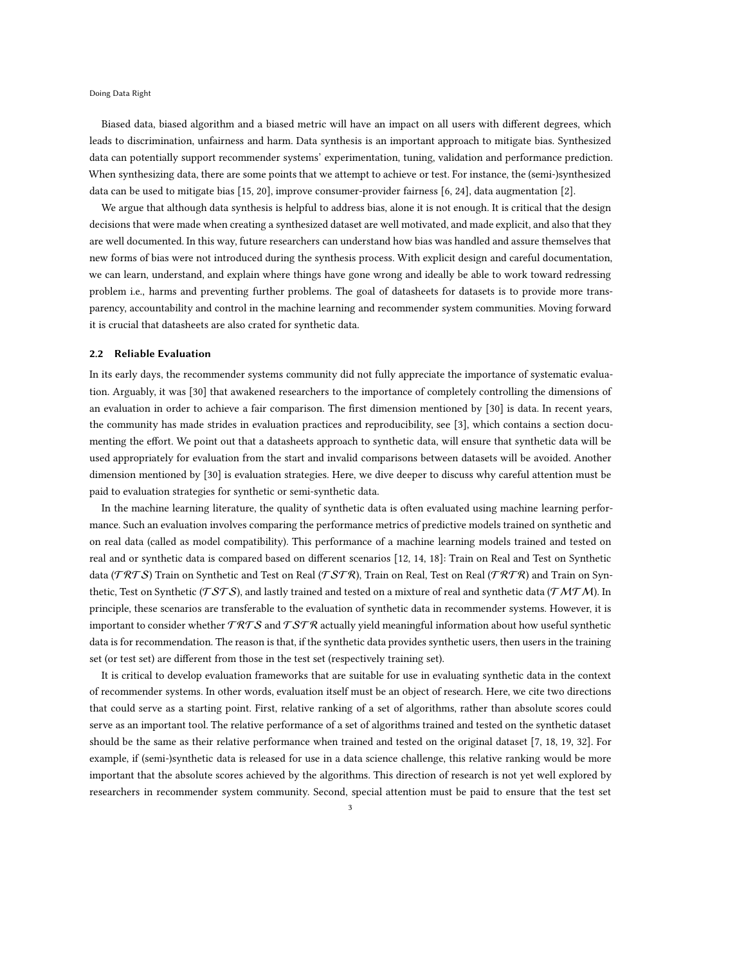Doing Data Right

Biased data, biased algorithm and a biased metric will have an impact on all users with different degrees, which leads to discrimination, unfairness and harm. Data synthesis is an important approach to mitigate bias. Synthesized data can potentially support recommender systems' experimentation, tuning, validation and performance prediction. When synthesizing data, there are some points that we attempt to achieve or test. For instance, the (semi-)synthesized data can be used to mitigate bias [\[15,](#page-5-4) [20](#page-5-5)], improve consumer-provider fairness [\[6](#page-5-6), [24\]](#page-6-8), data augmentation [\[2\]](#page-5-7).

We argue that although data synthesis is helpful to address bias, alone it is not enough. It is critical that the design decisions that were made when creating a synthesized dataset are well motivated, and made explicit, and also that they are well documented. In this way, future researchers can understand how bias was handled and assure themselves that new forms of bias were not introduced during the synthesis process. With explicit design and careful documentation, we can learn, understand, and explain where things have gone wrong and ideally be able to work toward redressing problem i.e., harms and preventing further problems. The goal of datasheets for datasets is to provide more transparency, accountability and control in the machine learning and recommender system communities. Moving forward it is crucial that datasheets are also crated for synthetic data.

#### 2.2 Reliable Evaluation

In its early days, the recommender systems community did not fully appreciate the importance of systematic evaluation. Arguably, it was [\[30\]](#page-6-9) that awakened researchers to the importance of completely controlling the dimensions of an evaluation in order to achieve a fair comparison. The first dimension mentioned by [\[30](#page-6-9)] is data. In recent years, the community has made strides in evaluation practices and reproducibility, see [\[3](#page-5-8)], which contains a section documenting the effort. We point out that a datasheets approach to synthetic data, will ensure that synthetic data will be used appropriately for evaluation from the start and invalid comparisons between datasets will be avoided. Another dimension mentioned by [\[30\]](#page-6-9) is evaluation strategies. Here, we dive deeper to discuss why careful attention must be paid to evaluation strategies for synthetic or semi-synthetic data.

In the machine learning literature, the quality of synthetic data is often evaluated using machine learning performance. Such an evaluation involves comparing the performance metrics of predictive models trained on synthetic and on real data (called as model compatibility). This performance of a machine learning models trained and tested on real and or synthetic data is compared based on different scenarios [\[12](#page-5-9), [14,](#page-5-10) [18\]](#page-5-11): Train on Real and Test on Synthetic data (TRTS) Train on Synthetic and Test on Real (TSTR), Train on Real, Test on Real (TRTR) and Train on Synthetic, Test on Synthetic (TSTS), and lastly trained and tested on a mixture of real and synthetic data (TMTM). In principle, these scenarios are transferable to the evaluation of synthetic data in recommender systems. However, it is important to consider whether  $TRTS$  and  $TSTR$  actually yield meaningful information about how useful synthetic data is for recommendation. The reason is that, if the synthetic data provides synthetic users, then users in the training set (or test set) are different from those in the test set (respectively training set).

It is critical to develop evaluation frameworks that are suitable for use in evaluating synthetic data in the context of recommender systems. In other words, evaluation itself must be an object of research. Here, we cite two directions that could serve as a starting point. First, relative ranking of a set of algorithms, rather than absolute scores could serve as an important tool. The relative performance of a set of algorithms trained and tested on the synthetic dataset should be the same as their relative performance when trained and tested on the original dataset [\[7](#page-5-12), [18,](#page-5-11) [19,](#page-5-13) [32\]](#page-6-1). For example, if (semi-)synthetic data is released for use in a data science challenge, this relative ranking would be more important that the absolute scores achieved by the algorithms. This direction of research is not yet well explored by researchers in recommender system community. Second, special attention must be paid to ensure that the test set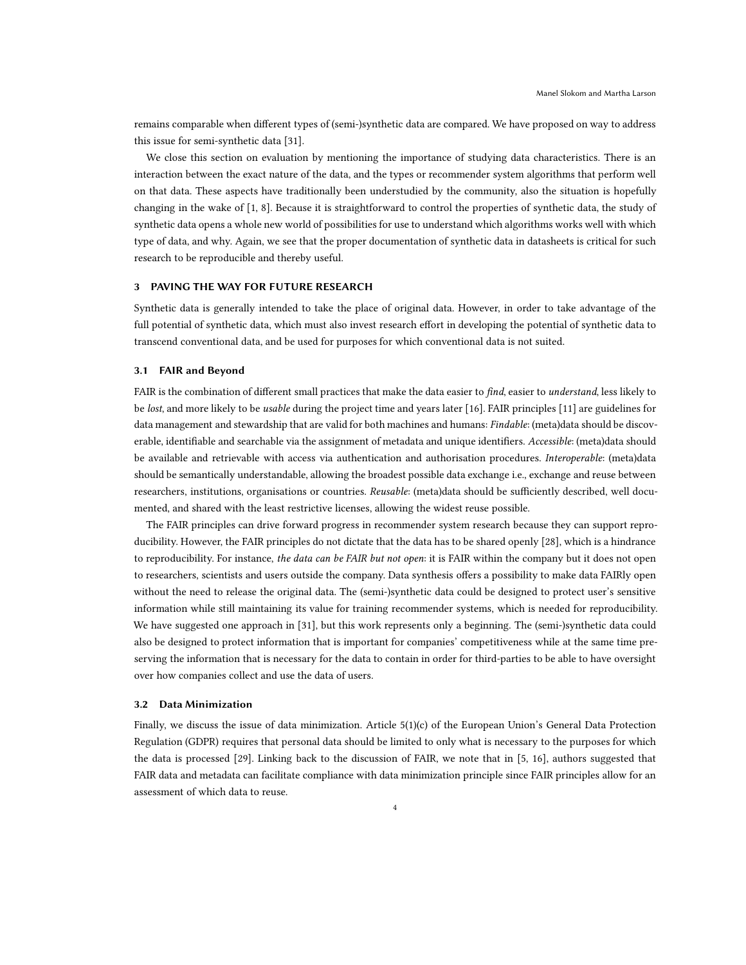remains comparable when different types of (semi-)synthetic data are compared. We have proposed on way to address this issue for semi-synthetic data [\[31\]](#page-6-2).

We close this section on evaluation by mentioning the importance of studying data characteristics. There is an interaction between the exact nature of the data, and the types or recommender system algorithms that perform well on that data. These aspects have traditionally been understudied by the community, also the situation is hopefully changing in the wake of [\[1,](#page-5-14) [8\]](#page-5-15). Because it is straightforward to control the properties of synthetic data, the study of synthetic data opens a whole new world of possibilities for use to understand which algorithms works well with which type of data, and why. Again, we see that the proper documentation of synthetic data in datasheets is critical for such research to be reproducible and thereby useful.

# 3 PAVING THE WAY FOR FUTURE RESEARCH

Synthetic data is generally intended to take the place of original data. However, in order to take advantage of the full potential of synthetic data, which must also invest research effort in developing the potential of synthetic data to transcend conventional data, and be used for purposes for which conventional data is not suited.

#### 3.1 FAIR and Beyond

FAIR is the combination of different small practices that make the data easier to find, easier to understand, less likely to be lost, and more likely to be usable during the project time and years later [\[16](#page-5-16)]. FAIR principles [\[11](#page-5-17)] are guidelines for data management and stewardship that are valid for both machines and humans: *Findable*: (meta)data should be discoverable, identifiable and searchable via the assignment of metadata and unique identifiers. Accessible: (meta)data should be available and retrievable with access via authentication and authorisation procedures. Interoperable: (meta)data should be semantically understandable, allowing the broadest possible data exchange i.e., exchange and reuse between researchers, institutions, organisations or countries. Reusable: (meta)data should be sufficiently described, well documented, and shared with the least restrictive licenses, allowing the widest reuse possible.

The FAIR principles can drive forward progress in recommender system research because they can support reproducibility. However, the FAIR principles do not dictate that the data has to be shared openly [\[28\]](#page-6-10), which is a hindrance to reproducibility. For instance, the data can be FAIR but not open: it is FAIR within the company but it does not open to researchers, scientists and users outside the company. Data synthesis offers a possibility to make data FAIRly open without the need to release the original data. The (semi-)synthetic data could be designed to protect user's sensitive information while still maintaining its value for training recommender systems, which is needed for reproducibility. We have suggested one approach in [\[31\]](#page-6-2), but this work represents only a beginning. The (semi-)synthetic data could also be designed to protect information that is important for companies' competitiveness while at the same time preserving the information that is necessary for the data to contain in order for third-parties to be able to have oversight over how companies collect and use the data of users.

#### 3.2 Data Minimization

Finally, we discuss the issue of data minimization. Article 5(1)(c) of the European Union's General Data Protection Regulation (GDPR) requires that personal data should be limited to only what is necessary to the purposes for which the data is processed [\[29\]](#page-6-11). Linking back to the discussion of FAIR, we note that in [\[5,](#page-5-18) [16](#page-5-16)], authors suggested that FAIR data and metadata can facilitate compliance with data minimization principle since FAIR principles allow for an assessment of which data to reuse.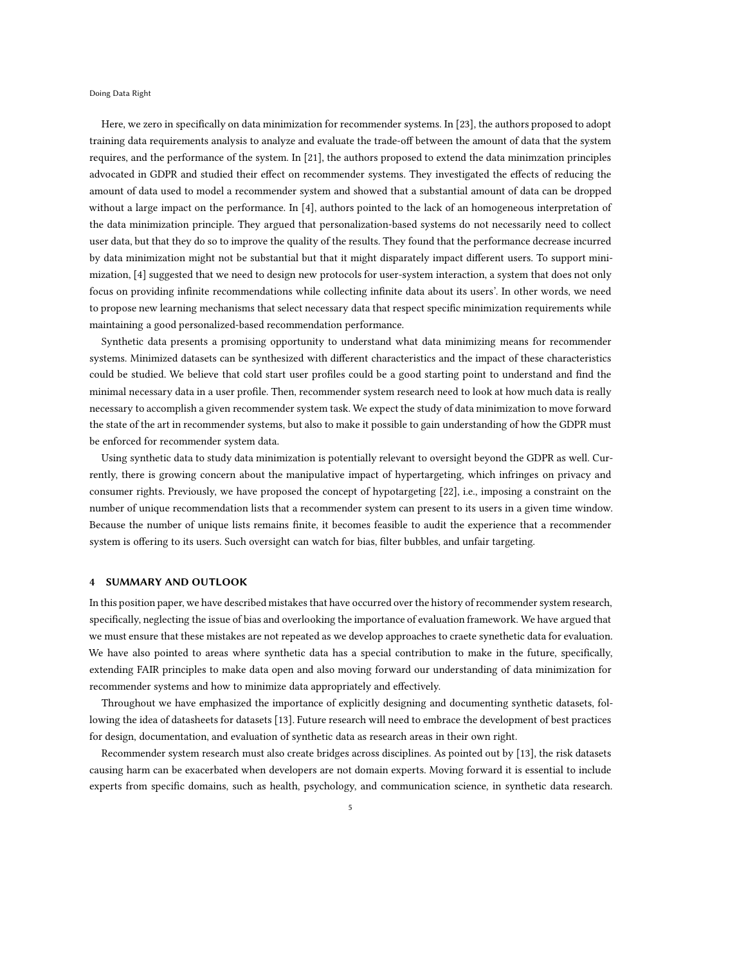Doing Data Right

Here, we zero in specifically on data minimization for recommender systems. In [\[23\]](#page-5-19), the authors proposed to adopt training data requirements analysis to analyze and evaluate the trade-off between the amount of data that the system requires, and the performance of the system. In [\[21\]](#page-5-20), the authors proposed to extend the data minimzation principles advocated in GDPR and studied their effect on recommender systems. They investigated the effects of reducing the amount of data used to model a recommender system and showed that a substantial amount of data can be dropped without a large impact on the performance. In [\[4\]](#page-5-21), authors pointed to the lack of an homogeneous interpretation of the data minimization principle. They argued that personalization-based systems do not necessarily need to collect user data, but that they do so to improve the quality of the results. They found that the performance decrease incurred by data minimization might not be substantial but that it might disparately impact different users. To support minimization, [\[4\]](#page-5-21) suggested that we need to design new protocols for user-system interaction, a system that does not only focus on providing infinite recommendations while collecting infinite data about its users'. In other words, we need to propose new learning mechanisms that select necessary data that respect specific minimization requirements while maintaining a good personalized-based recommendation performance.

Synthetic data presents a promising opportunity to understand what data minimizing means for recommender systems. Minimized datasets can be synthesized with different characteristics and the impact of these characteristics could be studied. We believe that cold start user profiles could be a good starting point to understand and find the minimal necessary data in a user profile. Then, recommender system research need to look at how much data is really necessary to accomplish a given recommender system task. We expect the study of data minimization to move forward the state of the art in recommender systems, but also to make it possible to gain understanding of how the GDPR must be enforced for recommender system data.

Using synthetic data to study data minimization is potentially relevant to oversight beyond the GDPR as well. Currently, there is growing concern about the manipulative impact of hypertargeting, which infringes on privacy and consumer rights. Previously, we have proposed the concept of hypotargeting [\[22](#page-5-22)], i.e., imposing a constraint on the number of unique recommendation lists that a recommender system can present to its users in a given time window. Because the number of unique lists remains finite, it becomes feasible to audit the experience that a recommender system is offering to its users. Such oversight can watch for bias, filter bubbles, and unfair targeting.

#### 4 SUMMARY AND OUTLOOK

In this position paper, we have described mistakes that have occurred over the history of recommender system research, specifically, neglecting the issue of bias and overlooking the importance of evaluation framework. We have argued that we must ensure that these mistakes are not repeated as we develop approaches to craete synethetic data for evaluation. We have also pointed to areas where synthetic data has a special contribution to make in the future, specifically, extending FAIR principles to make data open and also moving forward our understanding of data minimization for recommender systems and how to minimize data appropriately and effectively.

Throughout we have emphasized the importance of explicitly designing and documenting synthetic datasets, following the idea of datasheets for datasets [\[13\]](#page-5-1). Future research will need to embrace the development of best practices for design, documentation, and evaluation of synthetic data as research areas in their own right.

Recommender system research must also create bridges across disciplines. As pointed out by [\[13](#page-5-1)], the risk datasets causing harm can be exacerbated when developers are not domain experts. Moving forward it is essential to include experts from specific domains, such as health, psychology, and communication science, in synthetic data research.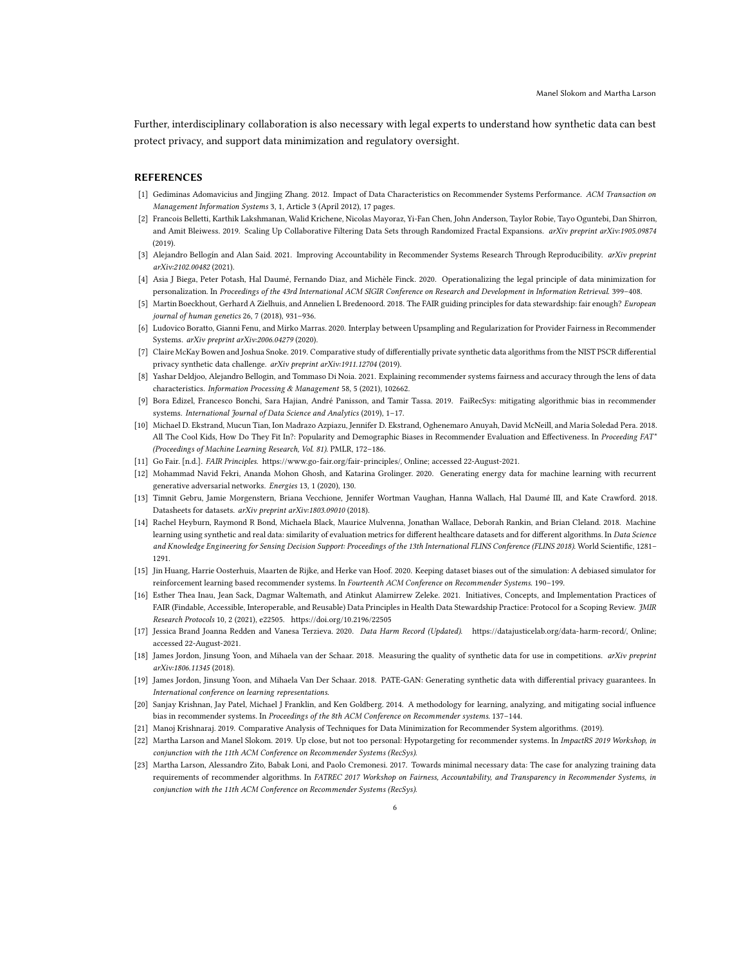Further, interdisciplinary collaboration is also necessary with legal experts to understand how synthetic data can best protect privacy, and support data minimization and regulatory oversight.

#### **REFERENCES**

- <span id="page-5-14"></span>[1] Gediminas Adomavicius and Jingjing Zhang. 2012. Impact of Data Characteristics on Recommender Systems Performance. ACM Transaction on Management Information Systems 3, 1, Article 3 (April 2012), 17 pages.
- <span id="page-5-7"></span>[2] Francois Belletti, Karthik Lakshmanan, Walid Krichene, Nicolas Mayoraz, Yi-Fan Chen, John Anderson, Taylor Robie, Tayo Oguntebi, Dan Shirron, and Amit Bleiwess. 2019. Scaling Up Collaborative Filtering Data Sets through Randomized Fractal Expansions. arXiv preprint arXiv:1905.09874  $(2019)$
- <span id="page-5-8"></span>[3] Alejandro Bellogín and Alan Said. 2021. Improving Accountability in Recommender Systems Research Through Reproducibility. arXiv preprint arXiv:2102.00482 (2021).
- <span id="page-5-21"></span>[4] Asia J Biega, Peter Potash, Hal Daumé, Fernando Diaz, and Michèle Finck. 2020. Operationalizing the legal principle of data minimization for personalization. In Proceedings of the 43rd International ACM SIGIR Conference on Research and Development in Information Retrieval. 399–408.
- <span id="page-5-18"></span>[5] Martin Boeckhout, Gerhard A Zielhuis, and Annelien L Bredenoord. 2018. The FAIR guiding principles for data stewardship: fair enough? European journal of human genetics 26, 7 (2018), 931–936.
- <span id="page-5-6"></span>[6] Ludovico Boratto, Gianni Fenu, and Mirko Marras. 2020. Interplay between Upsampling and Regularization for Provider Fairness in Recommender Systems. arXiv preprint arXiv:2006.04279 (2020).
- <span id="page-5-12"></span>[7] Claire McKay Bowen and Joshua Snoke. 2019. Comparative study of differentially private synthetic data algorithms from the NIST PSCR differential privacy synthetic data challenge. arXiv preprint arXiv:1911.12704 (2019).
- <span id="page-5-15"></span>[8] Yashar Deldjoo, Alejandro Bellogin, and Tommaso Di Noia. 2021. Explaining recommender systems fairness and accuracy through the lens of data characteristics. Information Processing & Management 58, 5 (2021), 102662.
- <span id="page-5-3"></span>[9] Bora Edizel, Francesco Bonchi, Sara Hajian, André Panisson, and Tamir Tassa. 2019. FaiRecSys: mitigating algorithmic bias in recommender systems. International Journal of Data Science and Analytics (2019), 1-17.
- <span id="page-5-2"></span>[10] Michael D. Ekstrand, Mucun Tian, Ion Madrazo Azpiazu, Jennifer D. Ekstrand, Oghenemaro Anuyah, David McNeill, and Maria Soledad Pera. 2018. All The Cool Kids, How Do They Fit In?: Popularity and Demographic Biases in Recommender Evaluation and Effectiveness. In Proceeding FAT\* (Proceedings of Machine Learning Research, Vol. 81). PMLR, 172–186.
- <span id="page-5-17"></span>[11] Go Fair. [n.d.]. FAIR Principles. [https://www.go-fair.org/fair-principles/,](https://www.go-fair.org/fair-principles/) Online; accessed 22-August-2021.
- <span id="page-5-9"></span>[12] Mohammad Navid Fekri, Ananda Mohon Ghosh, and Katarina Grolinger. 2020. Generating energy data for machine learning with recurrent generative adversarial networks. Energies 13, 1 (2020), 130.
- <span id="page-5-1"></span>[13] Timnit Gebru, Jamie Morgenstern, Briana Vecchione, Jennifer Wortman Vaughan, Hanna Wallach, Hal Daumé III, and Kate Crawford. 2018. Datasheets for datasets. arXiv preprint arXiv:1803.09010 (2018).
- <span id="page-5-10"></span>[14] Rachel Heyburn, Raymond R Bond, Michaela Black, Maurice Mulvenna, Jonathan Wallace, Deborah Rankin, and Brian Cleland. 2018. Machine learning using synthetic and real data: similarity of evaluation metrics for different healthcare datasets and for different algorithms. In Data Science and Knowledge Engineering for Sensing Decision Support: Proceedings of the 13th International FLINS Conference (FLINS 2018). World Scientific, 1281– 1291.
- <span id="page-5-4"></span>[15] Jin Huang, Harrie Oosterhuis, Maarten de Rijke, and Herke van Hoof. 2020. Keeping dataset biases out of the simulation: A debiased simulator for reinforcement learning based recommender systems. In Fourteenth ACM Conference on Recommender Systems. 190–199.
- <span id="page-5-16"></span>[16] Esther Thea Inau, Jean Sack, Dagmar Waltemath, and Atinkut Alamirrew Zeleke. 2021. Initiatives, Concepts, and Implementation Practices of FAIR (Findable, Accessible, Interoperable, and Reusable) Data Principles in Health Data Stewardship Practice: Protocol for a Scoping Review. JMIR Research Protocols 10, 2 (2021), e22505.<https://doi.org/10.2196/22505>
- <span id="page-5-0"></span>[17] Jessica Brand Joanna Redden and Vanesa Terzieva. 2020. Data Harm Record (Updated). [https://datajusticelab.org/data-harm-record/,](https://datajusticelab.org/data-harm-record/) Online; accessed 22-August-2021.
- <span id="page-5-11"></span>[18] James Jordon, Jinsung Yoon, and Mihaela van der Schaar. 2018. Measuring the quality of synthetic data for use in competitions. arXiv preprint arXiv:1806.11345 (2018).
- <span id="page-5-13"></span>[19] James Jordon, Jinsung Yoon, and Mihaela Van Der Schaar. 2018. PATE-GAN: Generating synthetic data with differential privacy guarantees. In International conference on learning representations.
- <span id="page-5-5"></span>[20] Sanjay Krishnan, Jay Patel, Michael J Franklin, and Ken Goldberg. 2014. A methodology for learning, analyzing, and mitigating social influence bias in recommender systems. In Proceedings of the 8th ACM Conference on Recommender systems. 137–144.
- <span id="page-5-20"></span>[21] Manoj Krishnaraj. 2019. Comparative Analysis of Techniques for Data Minimization for Recommender System algorithms. (2019).
- <span id="page-5-22"></span>[22] Martha Larson and Manel Slokom. 2019. Up close, but not too personal: Hypotargeting for recommender systems. In ImpactRS 2019 Workshop, in conjunction with the 11th ACM Conference on Recommender Systems (RecSys).
- <span id="page-5-19"></span>[23] Martha Larson, Alessandro Zito, Babak Loni, and Paolo Cremonesi. 2017. Towards minimal necessary data: The case for analyzing training data requirements of recommender algorithms. In FATREC 2017 Workshop on Fairness, Accountability, and Transparency in Recommender Systems, in conjunction with the 11th ACM Conference on Recommender Systems (RecSys).